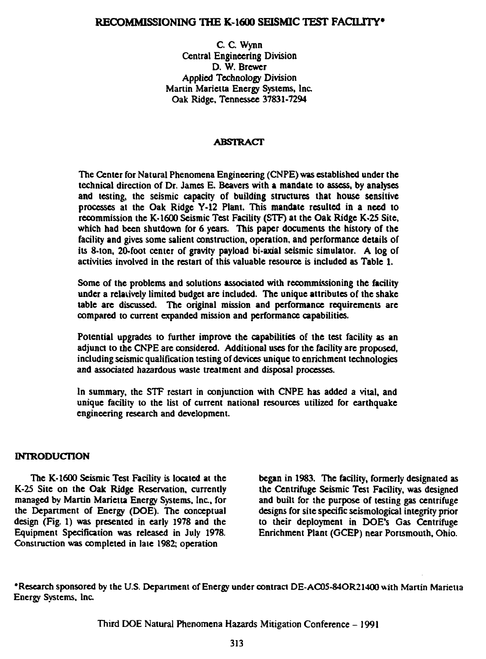# **RECOMMISSIONING THE K-1600 SEISMIC TEST FACILITY\***

C. C. Wynn Central Engineering Division D. W. Brewer Applied Technology Division Martin Marietta Energy Systems, Inc. Oak Ridge, Tennessee 37831-7294

## **ABSTRACT**

**The Center for Natural Phenomena Engineering (CNPE) was established under the technical direction of Dr. James E. Beavers with a mandate to assess, by analyses and testing, the seismic capacity of building structures that house sensitive processes at the Oak Ridge Y-12 Plant. This mandate resulted in a need to recommission the K-1600 Seismic Test Facility (STF) at the Oak Ridge K-25 Site, which had been shutdown for 6 years. This paper documents the history of the facility and gives some salient construction, operation, and performance details of its 8-ton, 20-foot center of gravity payload bi-axial seismic simulator. A log of activities involved in the restart of this valuable resource is included as Table 1.**

**Some of the problems and solutions associated with rccommissioning the facility under a relatively limited budget are included. The unique attributes of the shake table are discussed. The original mission and performance requirements are compared to current expanded mission and performance capabilities.**

**Potential upgrades to further improve the capabilities of the test facility as an adjunct to the CNPE are considered. Additional uses for the facility are proposed, including seismic qualification testing of devices unique to enrichment technologies and associated hazardous waste treatment and disposal processes.**

**In summary, the STF restart in conjunction with CNPE has added a vital, and unique facility to the list of current national resources utilized for earthquake engineering research and development.**

## **INTRODUCTION**

**The K-1600 Seismic Test Facility is located at the K-25 Site on the Oak Ridge Reservation, currently managed by Martin Marietta Energy Systems, Inc., for the Department of Energy (DOE). The conceptual design (Fig. 1) was presented in early 1978 and the Equipment Specification was released in July 1978. Construction was completed in late 1982; operation**

**began in 1983. The facility, formerly designated as the Centrifuge Seismic Test Facility, was designed and built for the purpose of testing gas centrifuge designs for site specific seismological integrity prior to their deployment in DOE's Gas Centrifuge Enrichment Plant (GCEP) near Portsmouth, Ohio.**

**'Research sponsored by the U.S. Department of Energy under contract DE-AC05-84OR21400 with Martin Marietta Energy Systems, Inc.**

**Third DOE Natural Phenomena Hazards Mitigation Conference - 1991**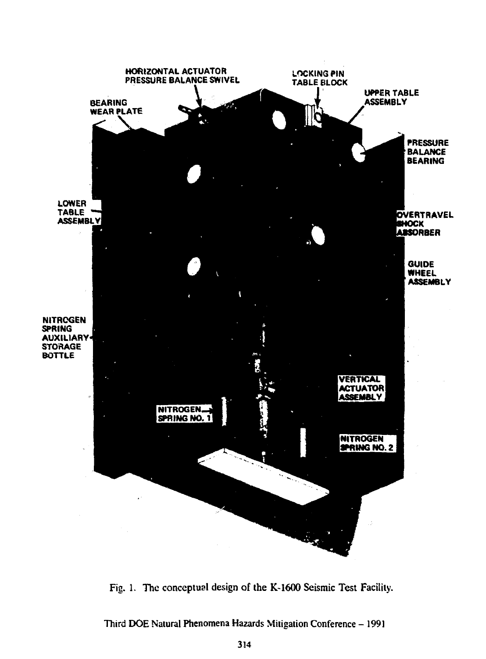

Fig. 1. The conceptual design of the K-1600 Seismic Test Facility.

Third DOE Natural Phenomena Hazards Mitigation Conference - 1991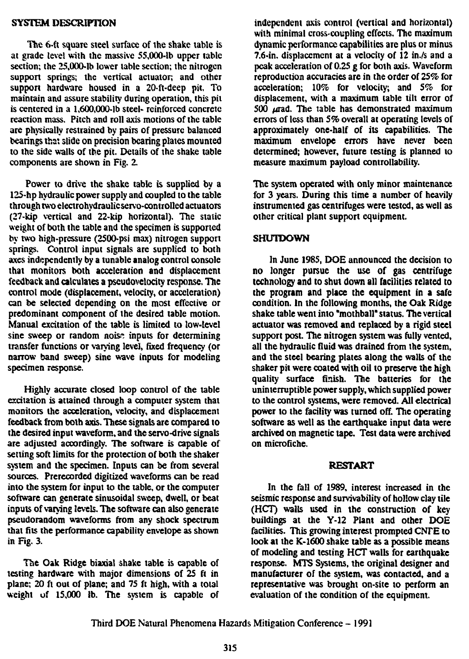## **SYSTEM DESCRIPTION**

**The 6-ft square steel surface of the shake table is at grade level with the massive 55,000-lb upper table section; the 25,000-lh lower table section; the nitrogen support springs; the vertical actuator; and other support hardware housed in a 20-ft-deep pit. To maintain and assure stability during operation, this pit is centered in a 1,600,000-lb steel- reinforced concrete reaction mass. Pitch and roll axis motions of the table are physically restrained by pairs of pressure balanced bearings that slide on precision bearing plates mounted to the side walls of the pit. Details of the shake table components are shown in Fig. 2.**

**Power to drive the shake table is supplied by a 125-hp hydraulic power supply and coupled to the table through two electrohydraulicservo-controlled actuators (27-kip vertical and 22-kip horizontal). The static weight of both the table and the specimen is supported by two high-pressure (2500-psi max) nitrogen support springs. Control input signals are supplied to both axes independently by a tunable analog control console that monitors both acceleration and displacement feedback and calculates a pseudovelocity response. The control mode (displacement, velocity, or acceleration) can be selected depending on the most effective or predominant component of the desired table motion. Manual excitation of the table is limited to low-level sine sweep or random noise inputs for determining transfer functions or varying level, fixed frequency (or narrow band sweep) sine wave inputs for modeling specimen response.**

**Highly accurate closed loop control of the table excitation is attained through a computer system that monitors the acceleration, velocity, and displacement feedback from both axis. These signals are compared to the desired input waveform, and the servo-drive signals are adjusted accordingly. The software is capable of setting soft limits for the protection of both the shaker system and the specimen. Inputs can be from several sources. Prerecorded digitized waveforms can be read into the system for input to the table, or the computer software can generate sinusoidal sweep, dwell, or beat inputs of varying levels. The software can also generate pseudorandom waveforms from any shock spectrum that fits the performance capability envelope as shown in Fig. 3.**

**The Oak Ridge biaxial shake table is capable of testing hardware with major dimensions of 25 ft in plane; 20 ft out of plane; and 75 ft high, with a total weight of 15,000 ib. The system is capable of**

**independent axis control (vertical and horizontal) with minimal cross-coupling effects. The maximum dynamic performance capabilities aie plus or minus 7.6-in. displacement at a velocity of 12 in./s and a peak acceleration of 0.25 g for both axis. Waveform reproduction accuracies are in the order of 25% for acceleration; 10% for velocity; and** *5%* **for displacement, with a maximum table tilt error of 500 Ad-ad. The table has demonstrated maximum errors of less than 5% overall at operating levels of approximately one-half of its capabilities. The maximum envelope errors have never been determined; however, future testing is planned to measure maximum payload controllability.**

**The system operated with only minor maintenance for 3 years. During this time a number of heavily instrumented gas centrifuges were tested, as well as other critical plant support equipment.**

### **SHUTDOWN**

**In June 1985, DOE announced the decision to no longer pursue the use of gas centrifuge technology and to shut down all facilities related to the program and place the equipment in a safe condition. In the following months, the Oak Ridge shake table went into "mothball" status. The vertical actuator was removed and replaced by a rigid steel support post The nitrogen system was fully vented, all the hydraulic fluid was drained from the system, and the steel bearing plates along the walls of the shaker pit were coated with oil to preserve the high quality surface finish. The batteries for the uninterruptible power supply, which supplied power to the control systems, were removed. All electrical power to the facility was turned off. The operating software as well as the earthquake input data were archived on magnetic tape. Test data were archived on microfiche.**

#### **RESTART**

**In the fall of 1989, interest increased in the seismic response and survivability of hollow clay tile (HCT) walls used in the construction of key buildings at the Y-12 Plant and other DOE facilities. This growing interest prompted** *CSTE* **to look at the K-1600 shake table as a possible means of modeling and testing HCT walls for earthquake response. MTS Systems, the original designer and manufacturer of the system, was contacted, and a representative was brought on-site to perform an evaluation of the condition of the equipment.**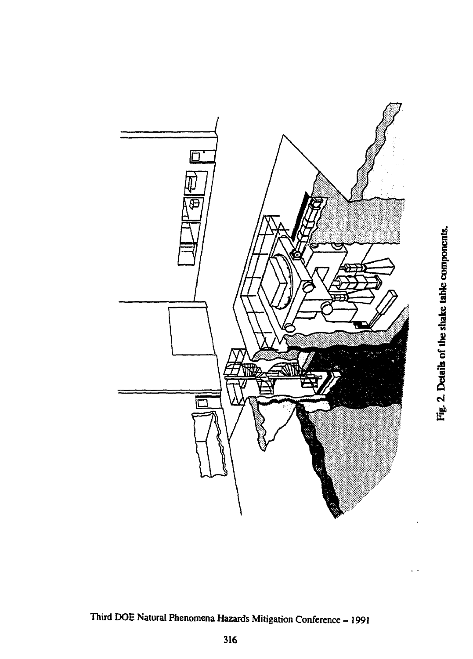

Third DOE Natural Phenomena Hazards Mitigation Conference - 1991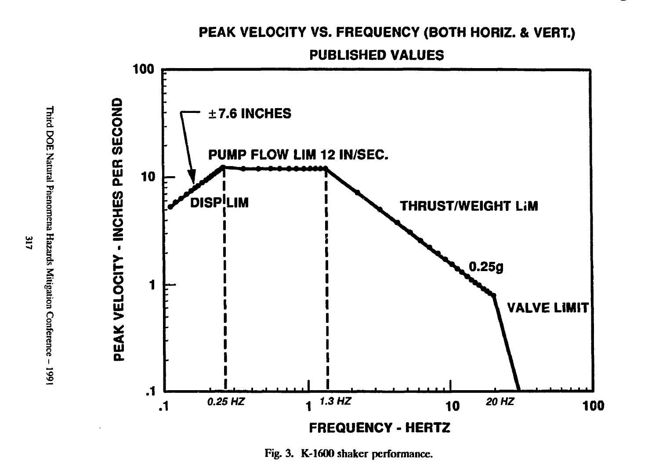# PEAK VELOCITY VS. FREQUENCY (BOTH HORIZ. & VERT.)

**PUBLISHED VALUES** 



Fig. 3. K-1600 shaker performance.

 $\overline{\mathbf{u}}$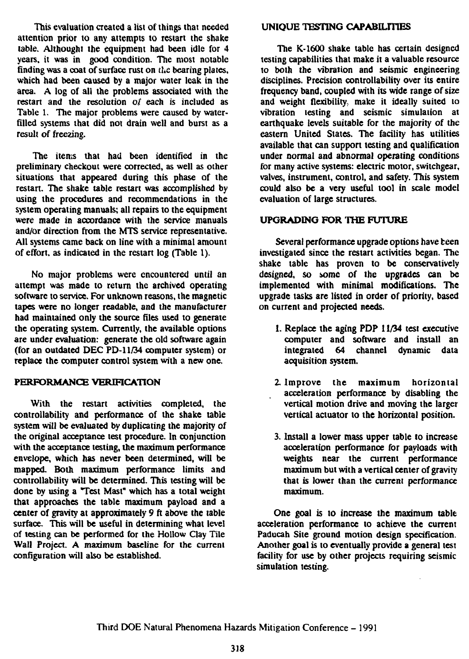**This evaluation created a list of things that needed attention prior to any attempts to restart the shake table. Although! the equipment had been idle for 4 years, it was in good condition. The most notable finding was a coat of surface rust on the bearing plates, which had been caused by a major water leak in the area. A log of all the problems associated with the restart and the resolution o/ each is included as Table 1. The major problems were caused by waterfilled systems that did not drain well and burst as a result of freezing.**

**The items that had been identified in the preliminary checkout were corrected, as well as other situations that appeared during this phase of the restart. The shake table restart was accomplished by using the procedures and recommendations in the system operating manuals; all repairs to the equipment were made in accordance with the service manuals and/or direction from the MTS service representative. All systems came back on line with a minimal amount of effort, as indicated in the restart log (Table 1).**

**No major problems were encountered until an attempt was made to return the archived operating software to service. For unknown reasons, the magnetic tapes were no longer readable, and the manufacturer had maintained only the source files used to generate the operating system. Currently, the available options are under evaluation: generate the old software again (for an outdated DEC PD-11/34 computer system) or replace the computer control system with a new one.**

## **PERFORMANCE VERIFICATION**

**With the restart activities completed, the controllability and performance of the shake table system will be evaluated by duplicating the majority of the original acceptance test procedure. In conjunction with the acceptance testing, the maximum performance envelope, which has never been determined, will be mapped. Both maximum performance limits and controllability will be determined. This testing will be done by using a Test Mast" which has a total weight that approaches the table maximum payload and a center of gravity at approximately 9 ft above the table surface. This will be useful in determining what level of testing can be performed for the Hollow Clay Tile Wall Project. A maximum baseline for the current configuration will also be established.**

## **UNIQUE TESTING CAPABILITIES**

**The K-1600 shake table has certain designed testing capabilities that make it a valuable resource to both the vibration and seismic engineering disciplines. Precision controllability over its entire frequency band, coupled with its wide range of size and weight flexibility make it ideally suited to vibration testing and seismic simulation at earthquake levels suitable for the majority of the eastern United States. The facility has utilities available that can support testing and qualification under normal and abnormal operating conditions for many active systems: electric motor, switchgear, valves, instrument, control, and safety. This system could also be a very useful tool in scale model evaluation of large structures.**

## **UPGRADING FOR THE FUTURE**

**Several performance upgrade options have been investigated since the restart activities began. The shake table has proven to be conservatively designed, so some of the upgrades can be implemented with minimal modifications. The upgrade tasks are listed in order of priority, based on current and projected needs.**

- **1. Replace the aging PDP 11/34 test executive computer and software and install an integrated 64 channel dynamic data acquisition system.**
- **2. Improve the maximum horizontal acceleration performance by disabling the vertical motion drive and moving the larger vertical actuator to the horizontal position.**
- **3. Install a lower mass upper table to increase acceleration performance for payloads with weights near the current performance maximum but with a vertical center of gravity that is lower than the current performance maximum.**

**One goal is to increase the maximum table acceleration performance to achieve the current Paducah Site ground motion design specification. Another goal is to eventually provide a genera] test facility for use by other projects requiring seismic simulation testing.**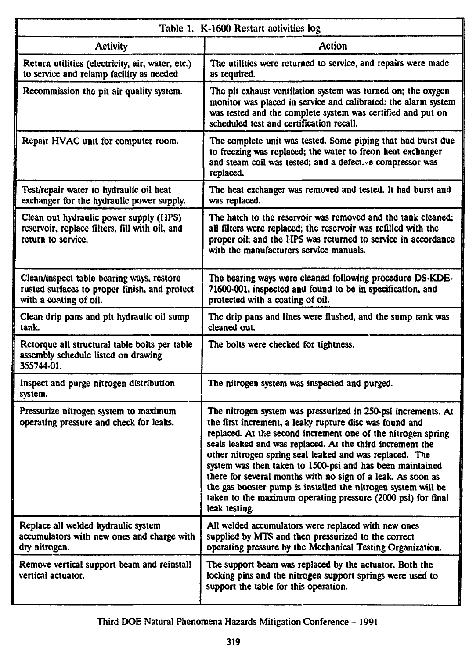| Table 1. K-1600 Restart activities log                                                                               |                                                                                                                                                                                                                                                                                                                                                                                                                                                                                                                                                                                                |
|----------------------------------------------------------------------------------------------------------------------|------------------------------------------------------------------------------------------------------------------------------------------------------------------------------------------------------------------------------------------------------------------------------------------------------------------------------------------------------------------------------------------------------------------------------------------------------------------------------------------------------------------------------------------------------------------------------------------------|
| <b>Activity</b>                                                                                                      | Action                                                                                                                                                                                                                                                                                                                                                                                                                                                                                                                                                                                         |
| Return utilities (electricity, air, water, etc.)<br>to service and relamp facility as needed                         | The utilities were returned to service, and repairs were made<br>as required.                                                                                                                                                                                                                                                                                                                                                                                                                                                                                                                  |
| Recommission the pit air quality system.                                                                             | The pit exhaust ventilation system was turned on; the oxygen<br>monitor was placed in service and calibrated: the alarm system<br>was tested and the complete system was certified and put on<br>scheduled test and certification recall.                                                                                                                                                                                                                                                                                                                                                      |
| Repair HVAC unit for computer room.                                                                                  | The complete unit was tested. Some piping that had burst due<br>to freezing was replaced; the water to freon heat exchanger<br>and steam coil was tested; and a defect. e compressor was<br>replaced.                                                                                                                                                                                                                                                                                                                                                                                          |
| Test/repair water to hydraulic oil heat<br>exchanger for the hydraulic power supply.                                 | The heat exchanger was removed and tested. It had burst and<br>was replaced.                                                                                                                                                                                                                                                                                                                                                                                                                                                                                                                   |
| Clean out hydraulic power supply (HPS)<br>reservoir, replace filters, fill with oil, and<br>return to service.       | The hatch to the reservoir was removed and the tank cleaned;<br>all filters were replaced; the reservoir was refilled with the<br>proper oil; and the HPS was returned to service in accordance<br>with the manufacturers service manuals.                                                                                                                                                                                                                                                                                                                                                     |
| Clean/inspect table bearing ways, restore<br>rusted surfaces to proper finish, and protect<br>with a coating of oil. | The bearing ways were cleaned following procedure DS-KDE-<br>71600-001, inspected and found to be in specification, and<br>protected with a coating of oil.                                                                                                                                                                                                                                                                                                                                                                                                                                    |
| Clean drip pans and pit hydraulic oil sump<br>tank.                                                                  | The drip pans and lines were flushed, and the sump tank was<br>cleaned out.                                                                                                                                                                                                                                                                                                                                                                                                                                                                                                                    |
| Retorque all structural table bolts per table<br>assembly schedule listed on drawing<br>355744-01.                   | The bolts were checked for tightness.                                                                                                                                                                                                                                                                                                                                                                                                                                                                                                                                                          |
| Inspect and purge nitrogen distribution<br>system.                                                                   | The nitrogen system was inspected and purged.                                                                                                                                                                                                                                                                                                                                                                                                                                                                                                                                                  |
| Pressurize nitrogen system to maximum<br>operating pressure and check for leaks.                                     | The nitrogen system was pressurized in 250-psi increments. At<br>the first increment, a leaky rupture disc was found and<br>replaced. At the second increment one of the nitrogen spring<br>seals leaked and was replaced. At the third increment the<br>other nitrogen spring seal leaked and was replaced. The<br>system was then taken to 1500-psi and has been maintained<br>there for several months with no sign of a leak. As soon as<br>the gas booster pump is installed the nitrogen system will be<br>taken to the maximum operating pressure (2000 psi) for final<br>leak testing. |
| Replace all welded hydraulic system<br>accumulators with new ones and charge with<br>dry nitrogen.                   | All welded accumulators were replaced with new ones<br>supplied by MTS and then pressurized to the correct<br>operating pressure by the Mechanical Testing Organization.                                                                                                                                                                                                                                                                                                                                                                                                                       |
| Remove vertical support beam and reinstall<br>vertical actuator.                                                     | The support beam was replaced by the actuator. Both the<br>locking pins and the nitrogen support springs were used to<br>support the table for this operation.                                                                                                                                                                                                                                                                                                                                                                                                                                 |